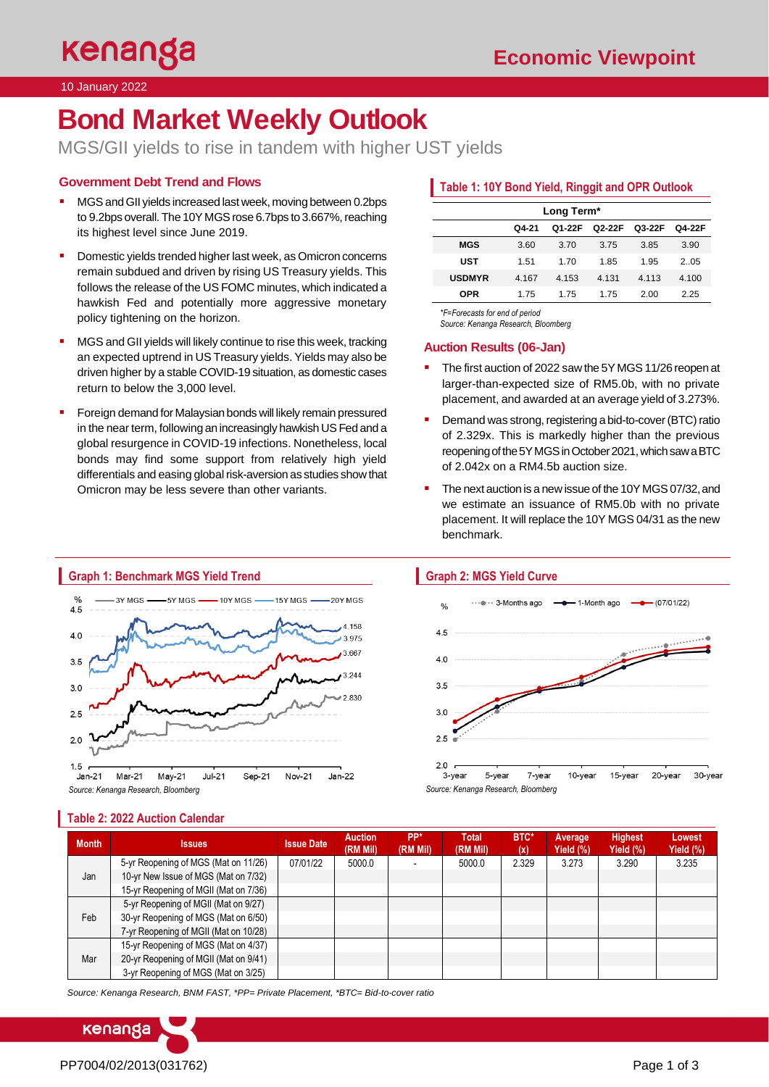10 January 2022

# **Bond Market Weekly Outlook**

MGS/GII yields to rise in tandem with higher UST yields

# **Government Debt Trend and Flows**

- MGS and GII yields increased last week, moving between 0.2bps to 9.2bps overall. The 10Y MGS rose 6.7bps to 3.667%, reaching its highest level since June 2019.
- Domestic yields trended higher last week, as Omicron concerns remain subdued and driven by rising US Treasury yields. This follows the release of the US FOMC minutes, which indicated a hawkish Fed and potentially more aggressive monetary policy tightening on the horizon.
- MGS and GII yields will likely continue to rise this week, tracking an expected uptrend in US Treasury yields. Yields may also be driven higher by a stable COVID-19 situation, as domestic cases return to below the 3,000 level.
- Foreign demand for Malaysian bonds will likely remain pressured in the near term, following an increasingly hawkish US Fed and a global resurgence in COVID-19 infections. Nonetheless, local bonds may find some support from relatively high yield differentials and easing global risk-aversion as studies show that Omicron may be less severe than other variants.

# **Table 1: 10Y Bond Yield, Ringgit and OPR Outlook**

|               |       | Long Term* |        |        |        |
|---------------|-------|------------|--------|--------|--------|
|               | Q4-21 | Q1-22F     | Q2-22F | Q3-22F | Q4-22F |
| <b>MGS</b>    | 3.60  | 3.70       | 3.75   | 3.85   | 3.90   |
| <b>UST</b>    | 1.51  | 1 7 0      | 1.85   | 1.95   | 2.05   |
| <b>USDMYR</b> | 4.167 | 4.153      | 4.131  | 4.113  | 4.100  |
| OPR           | 1.75  | 175        | 1.75   | 2.00   | 2.25   |

*\*F=Forecasts for end of period* 

*Source: Kenanga Research, Bloomberg*

## **Auction Results (06-Jan)**

- The first auction of 2022 saw the 5Y MGS 11/26 reopen at larger-than-expected size of RM5.0b, with no private placement, and awarded at an average yield of 3.273%.
- Demand was strong, registering a bid-to-cover (BTC) ratio of 2.329x. This is markedly higher than the previous reopening of the 5Y MGS in October 2021, which saw a BTC of 2.042x on a RM4.5b auction size.
- The next auction is a new issue of the 10Y MGS 07/32, and we estimate an issuance of RM5.0b with no private placement. It will replace the 10Y MGS 04/31 as the new benchmark.



## **Table 2: 2022 Auction Calendar**

# **Graph 2: MGS Yield Curve**



| <b>Month</b> | <b>Issues</b>                         | <b>Issue Date</b> | <b>Auction</b><br>(RM Mil) | PP*<br>(RM Mil) | <b>Total</b><br>(RM Mil) | BTC*<br>(x) | Average<br>Yield (%) | <b>Highest</b><br>Yield (%) | Lowest<br>Yield $(\%)$ |
|--------------|---------------------------------------|-------------------|----------------------------|-----------------|--------------------------|-------------|----------------------|-----------------------------|------------------------|
| Jan          | 5-yr Reopening of MGS (Mat on 11/26)  | 07/01/22          | 5000.0                     |                 | 5000.0                   | 2.329       | 3.273                | 3.290                       | 3.235                  |
|              | 10-yr New Issue of MGS (Mat on 7/32)  |                   |                            |                 |                          |             |                      |                             |                        |
|              | 15-yr Reopening of MGII (Mat on 7/36) |                   |                            |                 |                          |             |                      |                             |                        |
| Feb          | 5-yr Reopening of MGII (Mat on 9/27)  |                   |                            |                 |                          |             |                      |                             |                        |
|              | 30-yr Reopening of MGS (Mat on 6/50)  |                   |                            |                 |                          |             |                      |                             |                        |
|              | 7-yr Reopening of MGII (Mat on 10/28) |                   |                            |                 |                          |             |                      |                             |                        |
| Mar          | 15-yr Reopening of MGS (Mat on 4/37)  |                   |                            |                 |                          |             |                      |                             |                        |
|              | 20-yr Reopening of MGII (Mat on 9/41) |                   |                            |                 |                          |             |                      |                             |                        |
|              | 3-yr Reopening of MGS (Mat on 3/25)   |                   |                            |                 |                          |             |                      |                             |                        |

*Source: Kenanga Research, BNM FAST, \*PP= Private Placement, \*BTC= Bid-to-cover ratio*

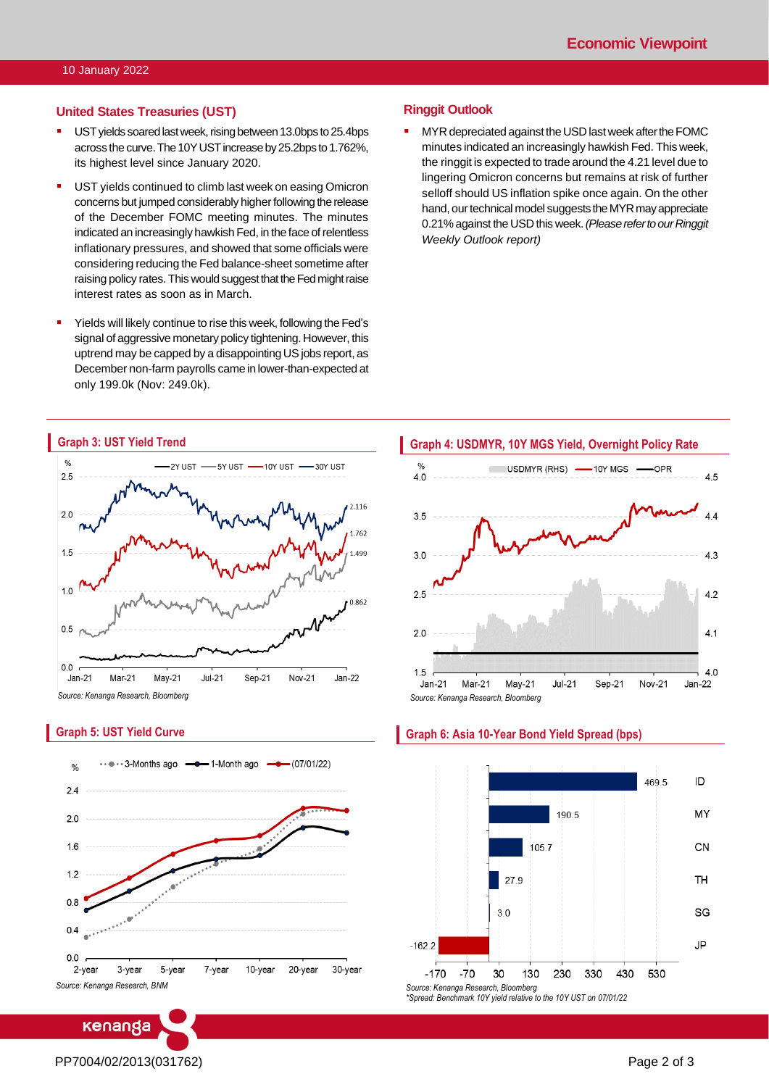#### **United States Treasuries (UST)**

- **UST yields soared last week, rising between 13.0bps to 25.4bps** across the curve. The 10Y UST increase by 25.2bps to 1.762%, its highest level since January 2020.
- UST yields continued to climb last week on easing Omicron concerns but jumped considerably higher following the release of the December FOMC meeting minutes. The minutes indicated an increasingly hawkish Fed, in the face of relentless inflationary pressures, and showed that some officials were considering reducing the Fed balance-sheet sometime after raising policy rates.This would suggest that the Fed might raise interest rates as soon as in March.
- Yields will likely continue to rise this week, following the Fed's signal of aggressive monetary policy tightening. However, this uptrend may be capped by a disappointing US jobs report, as December non-farm payrolls came in lower-than-expected at only 199.0k (Nov: 249.0k).

#### **Ringgit Outlook**

**■** MYR depreciated against the USD last week after the FOMC minutes indicated an increasingly hawkish Fed. This week, the ringgit is expected to trade around the 4.21 level due to lingering Omicron concerns but remains at risk of further selloff should US inflation spike once again. On the other hand, our technical model suggests the MYR may appreciate 0.21% against the USD this week. *(Please refer to our Ringgit Weekly Outlook report)*



## **Graph 5: UST Yield Curve**



Level 12, Kenanga Tower, 237, Jalan Tun Razak, 50400 Kuala Lumpur, Malaysia Chan Ken Yew Telephone: (603) 2172 0880 Web[site: www.kenanga.com](http://www.kenanga.com.my/).my [E-mail:](mailto:resear) research@kenanga.com.my Head of Research





#### **Graph 6: Asia 10-Year Bond Yield Spread (bps)**

# PP7004/02/2013(031762) Page 2 of 3

**ENANGA INVESTMENT BANK BERHAD (15678-H)**